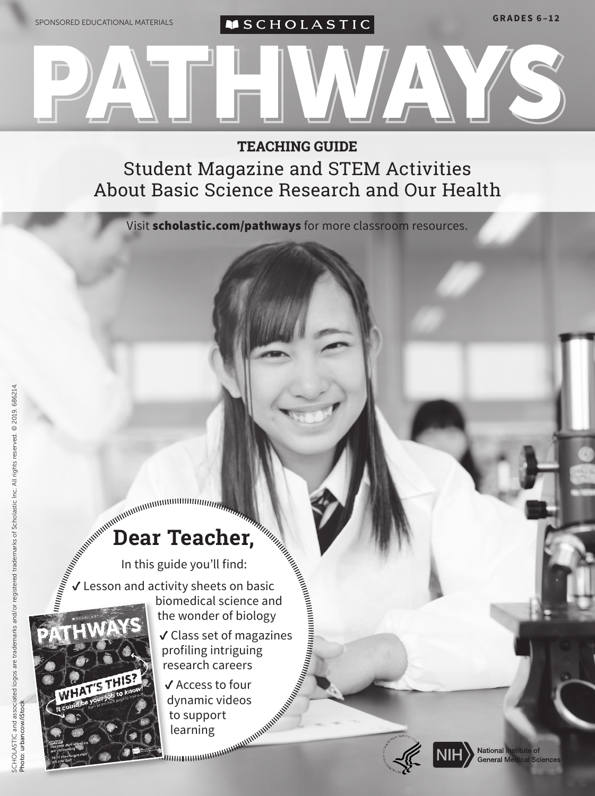

**TEACHING GUIDE**  Student Magazine and STEM Activities About Basic Science Research and Our Health

Visit [scholastic.com/pathways](http://www.scholastic.com/pathways) for more classroom resources.

## **Dear Teacher,**

In this guide you'll find:  $\checkmark$  Lesson and activity sheets on basic

biomedical science and the wonder of biology ✓ Class set of magazines profiling intriguing

research careers

✓ Access to four dynamic videos to support learning





National Institute of General Medical Sciences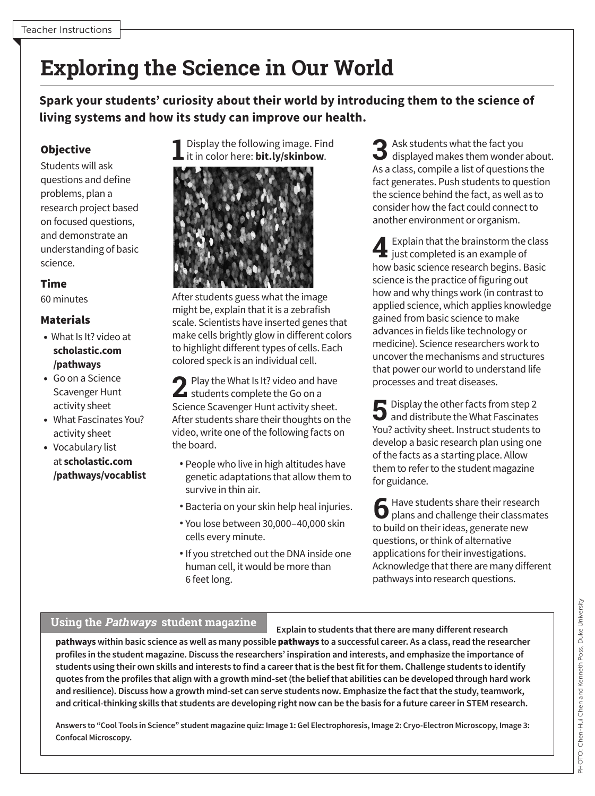## **Exploring the Science in Our World**

**Spark your students' curiosity about their world by introducing them to the science of living systems and how its study can improve our health.** 

questions and define problems, plan a research project based on focused questions, and demonstrate an understanding of basic science.

### Time

- 
- 
- 
- Vocabulary list

**1** Display the following image[.](https://images.nigms.nih.gov/Pages/DetailPage.aspx?imageID2=3782) Find it in color here: **bit.ly/skinbow**.<br>Students will ask it in color here: bit.ly/skinbow.



60 minutes After students guess what the image might be, explain that it is a zebrafish **Materials** scale. Scientists have inserted genes that • What Is It? video at make cells brightly glow in different colors to highlight different types of cells. Each **[scholastic.com](http://www.scholastic.com/pathways)**  colored speck is an individual cell. **/pathways** 

• Go on a Science **2** Play the What Is It? video and have<br>
Scavenger Hunt **2** activity sheet Science Scavenger Hunt activity sheet.  $\blacktriangle$  students complete the Go on a Science Scavenger Hunt activity sheet. • What Fascinates You? After students share their thoughts on the activity sheet video, write one of the following facts on<br>Vocabulary list the board.

- at **[scholastic.com](http://www.scholastic.com/pathways/vocablist)** People who live in high altitudes have **[/pathways/vocablist](http://www.scholastic.com/pathways/vocablist)** genetic adaptations that allow them to survive in thin air.
	- Bacteria on your skin help heal injuries.
	- You lose between 30,000–40,000 skin cells every minute.
	- If you stretched out the DNA inside one human cell, it would be more than 6 feet long.

**3** Ask students what the fact you displayed makes them wonder about. As a class, compile a list of questions the fact generates. Push students to question the science behind the fact, as well as to consider how the fact could connect to another environment or organism.

**4**Explain that the brainstorm the class  $\blacksquare$  just completed is an example of how basic science research begins. Basic science is the practice of figuring out how and why things work (in contrast to applied science, which applies knowledge gained from basic science to make advances in fields like technology or medicine). Science researchers work to uncover the mechanisms and structures that power our world to understand life processes and treat diseases.

**5** Display the other facts from step 2  $\Box$  and distribute the What Fascinates You? activity sheet. Instruct students to develop a basic research plan using one of the facts as a starting place. Allow them to refer to the student magazine for guidance.

**6** Have students share their research plans and challenge their classmates to build on their ideas, generate new questions, or think of alternative applications for their investigations. Acknowledge that there are many different pathways into research questions.

### **Using the Pathways student magazine**

**Explain to students that there are many different research pathways within basic science as well as many possible** pathways **to a successful career. As a class, read the researcher profiles in the student magazine. Discuss the researchers' inspiration and interests, and emphasize the importance of students using their own skills and interests to find a career that is the best fit for them. Challenge students to identify quotes from the profiles that align with a growth mind-set (the belief that abilities can be developed through hard work and resilience). Discuss how a growth mind-set can serve students now. Emphasize the fact that the study, teamwork, and critical-thinking skills that students are developing right now can be the basis for a future career in STEM research.** 

**Answers to "Cool Tools in Science" student magazine quiz: Image 1: Gel Electrophoresis, Image 2: Cryo-Electron Microscopy, Image 3: Confocal Microscopy.**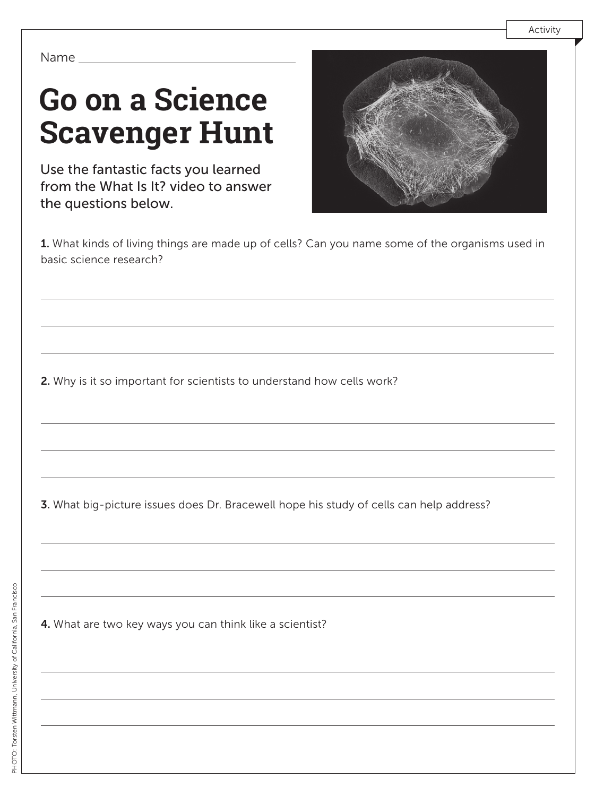# **Go on a Science Scavenger Hunt**

Use the fantastic facts you learned from the What Is It? video to answer the questions below.



1. What kinds of living things are made up of cells? Can you name some of the organisms used in basic science research?

2. Why is it so important for scientists to understand how cells work?

3. What big-picture issues does Dr. Bracewell hope his study of cells can help address?

4. What are two key ways you can think like a scientist?